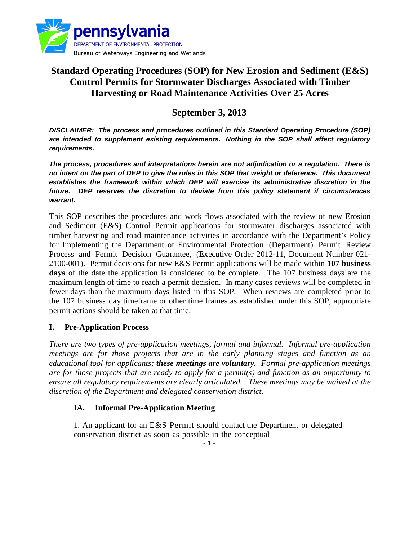

# **Standard Operating Procedures (SOP) for New Erosion and Sediment (E&S) Control Permits for Stormwater Discharges Associated with Timber Harvesting or Road Maintenance Activities Over 25 Acres**

# **September 3, 2013**

*DISCLAIMER: The process and procedures outlined in this Standard Operating Procedure (SOP) are intended to supplement existing requirements. Nothing in the SOP shall affect regulatory requirements.*

*The process, procedures and interpretations herein are not adjudication or a regulation. There is no intent on the part of DEP to give the rules in this SOP that weight or deference. This document establishes the framework within which DEP will exercise its administrative discretion in the future. DEP reserves the discretion to deviate from this policy statement if circumstances warrant.*

This SOP describes the procedures and work flows associated with the review of new Erosion and Sediment (E&S) Control Permit applications for stormwater discharges associated with timber harvesting and road maintenance activities in accordance with the Department's Policy for Implementing the Department of Environmental Protection (Department) Permit Review Process and Permit Decision Guarantee, (Executive Order 2012-11, Document Number 021- 2100-001). Permit decisions for new E&S Permit applications will be made within **107 business days** of the date the application is considered to be complete. The 107 business days are the maximum length of time to reach a permit decision. In many cases reviews will be completed in fewer days than the maximum days listed in this SOP. When reviews are completed prior to the 107 business day timeframe or other time frames as established under this SOP, appropriate permit actions should be taken at that time.

## **I. Pre-Application Process**

*There are two types of pre-application meetings, formal and informal. Informal pre-application meetings are for those projects that are in the early planning stages and function as an educational tool for applicants; these meetings are voluntary. Formal pre-application meetings are for those projects that are ready to apply for a permit(s) and function as an opportunity to ensure all regulatory requirements are clearly articulated. These meetings may be waived at the discretion of the Department and delegated conservation district.*

### **IA. Informal Pre-Application Meeting**

1. An applicant for an E&S Permit should contact the Department or delegated conservation district as soon as possible in the conceptual

- 1 -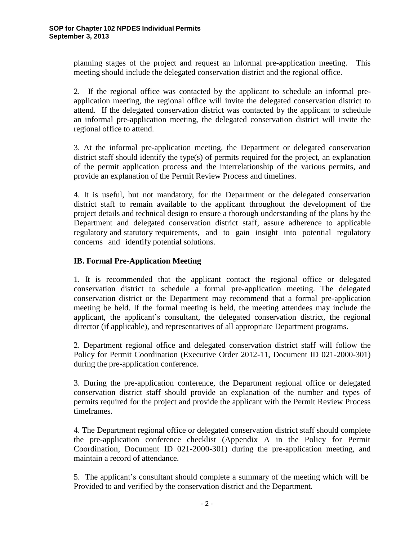planning stages of the project and request an informal pre-application meeting. This meeting should include the delegated conservation district and the regional office.

2. If the regional office was contacted by the applicant to schedule an informal preapplication meeting, the regional office will invite the delegated conservation district to attend. If the delegated conservation district was contacted by the applicant to schedule an informal pre-application meeting, the delegated conservation district will invite the regional office to attend.

3. At the informal pre-application meeting, the Department or delegated conservation district staff should identify the type(s) of permits required for the project, an explanation of the permit application process and the interrelationship of the various permits, and provide an explanation of the Permit Review Process and timelines.

4. It is useful, but not mandatory, for the Department or the delegated conservation district staff to remain available to the applicant throughout the development of the project details and technical design to ensure a thorough understanding of the plans by the Department and delegated conservation district staff, assure adherence to applicable regulatory and statutory requirements, and to gain insight into potential regulatory concerns and identify potential solutions.

## **IB. Formal Pre-Application Meeting**

1. It is recommended that the applicant contact the regional office or delegated conservation district to schedule a formal pre-application meeting. The delegated conservation district or the Department may recommend that a formal pre-application meeting be held. If the formal meeting is held, the meeting attendees may include the applicant, the applicant's consultant, the delegated conservation district, the regional director (if applicable), and representatives of all appropriate Department programs.

2. Department regional office and delegated conservation district staff will follow the Policy for Permit Coordination (Executive Order 2012-11, Document ID 021-2000-301) during the pre-application conference.

3. During the pre-application conference, the Department regional office or delegated conservation district staff should provide an explanation of the number and types of permits required for the project and provide the applicant with the Permit Review Process timeframes.

4. The Department regional office or delegated conservation district staff should complete the pre-application conference checklist (Appendix A in the Policy for Permit Coordination, Document ID 021-2000-301) during the pre-application meeting, and maintain a record of attendance.

5. The applicant's consultant should complete a summary of the meeting which will be Provided to and verified by the conservation district and the Department.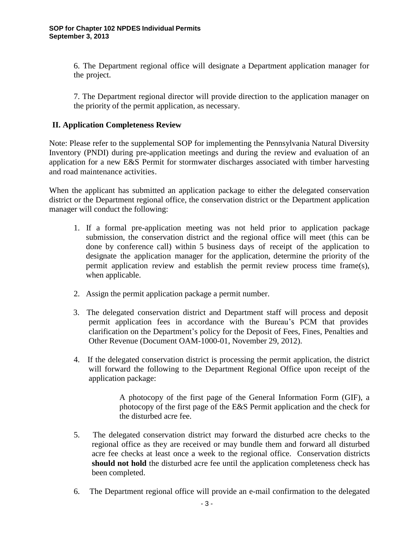6. The Department regional office will designate a Department application manager for the project.

7. The Department regional director will provide direction to the application manager on the priority of the permit application, as necessary.

## **II. Application Completeness Review**

Note: Please refer to the supplemental SOP for implementing the Pennsylvania Natural Diversity Inventory (PNDI) during pre-application meetings and during the review and evaluation of an application for a new E&S Permit for stormwater discharges associated with timber harvesting and road maintenance activities.

When the applicant has submitted an application package to either the delegated conservation district or the Department regional office, the conservation district or the Department application manager will conduct the following:

- 1. If a formal pre-application meeting was not held prior to application package submission, the conservation district and the regional office will meet (this can be done by conference call) within 5 business days of receipt of the application to designate the application manager for the application, determine the priority of the permit application review and establish the permit review process time frame(s), when applicable.
- 2. Assign the permit application package a permit number.
- 3. The delegated conservation district and Department staff will process and deposit permit application fees in accordance with the Bureau's PCM that provides clarification on the Department's policy for the Deposit of Fees, Fines, Penalties and Other Revenue (Document OAM-1000-01, November 29, 2012).
- 4. If the delegated conservation district is processing the permit application, the district will forward the following to the Department Regional Office upon receipt of the application package:

A photocopy of the first page of the General Information Form (GIF), a photocopy of the first page of the E&S Permit application and the check for the disturbed acre fee.

- 5. The delegated conservation district may forward the disturbed acre checks to the regional office as they are received or may bundle them and forward all disturbed acre fee checks at least once a week to the regional office. Conservation districts **should not hold** the disturbed acre fee until the application completeness check has been completed.
- 6. The Department regional office will provide an e-mail confirmation to the delegated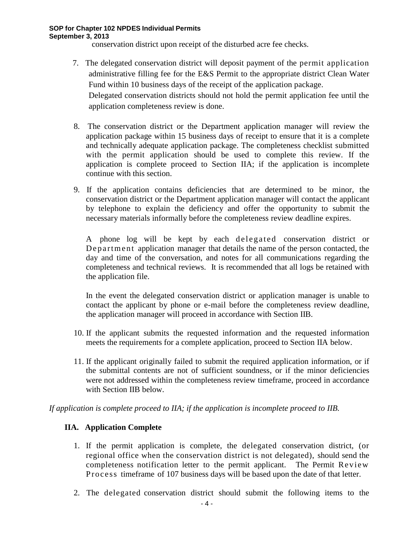conservation district upon receipt of the disturbed acre fee checks.

7. The delegated conservation district will deposit payment of the permit application administrative filling fee for the E&S Permit to the appropriate district Clean Water Fund within 10 business days of the receipt of the application package. Delegated conservation districts should not hold the permit application fee until the

application completeness review is done.

- 8. The conservation district or the Department application manager will review the application package within 15 business days of receipt to ensure that it is a complete and technically adequate application package. The completeness checklist submitted with the permit application should be used to complete this review. If the application is complete proceed to Section IIA; if the application is incomplete continue with this section.
- 9. If the application contains deficiencies that are determined to be minor, the conservation district or the Department application manager will contact the applicant by telephone to explain the deficiency and offer the opportunity to submit the necessary materials informally before the completeness review deadline expires.

A phone log will be kept by each de legated conservation district or Department application manager that details the name of the person contacted, the day and time of the conversation, and notes for all communications regarding the completeness and technical reviews. It is recommended that all logs be retained with the application file.

In the event the delegated conservation district or application manager is unable to contact the applicant by phone or e-mail before the completeness review deadline, the application manager will proceed in accordance with Section IIB.

- 10. If the applicant submits the requested information and the requested information meets the requirements for a complete application, proceed to Section IIA below.
- 11. If the applicant originally failed to submit the required application information, or if the submittal contents are not of sufficient soundness, or if the minor deficiencies were not addressed within the completeness review timeframe, proceed in accordance with Section IIB below.

*If application is complete proceed to IIA; if the application is incomplete proceed to IIB.*

## **IIA. Application Complete**

- 1. If the permit application is complete, the delegated conservation district, (or regional office when the conservation district is not delegated), should send the completeness notification letter to the permit applicant. The Permit Review Process timeframe of 107 business days will be based upon the date of that letter.
- 2. The delegated conservation district should submit the following items to the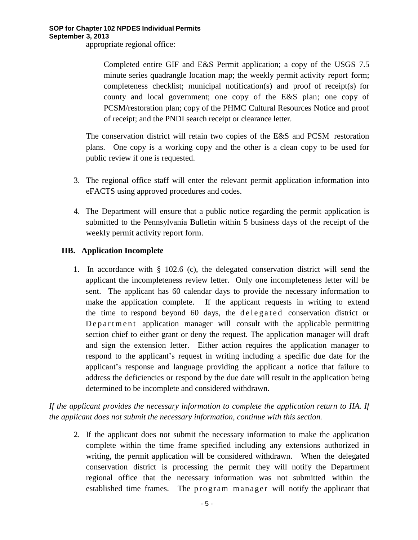appropriate regional office:

Completed entire GIF and E&S Permit application; a copy of the USGS 7.5 minute series quadrangle location map; the weekly permit activity report form; completeness checklist; municipal notification(s) and proof of receipt(s) for county and local government; one copy of the E&S plan; one copy of PCSM/restoration plan; copy of the PHMC Cultural Resources Notice and proof of receipt; and the PNDI search receipt or clearance letter.

The conservation district will retain two copies of the E&S and PCSM restoration plans. One copy is a working copy and the other is a clean copy to be used for public review if one is requested.

- 3. The regional office staff will enter the relevant permit application information into eFACTS using approved procedures and codes.
- 4. The Department will ensure that a public notice regarding the permit application is submitted to the Pennsylvania Bulletin within 5 business days of the receipt of the weekly permit activity report form.

## **IIB. Application Incomplete**

1. In accordance with § 102.6 (c), the delegated conservation district will send the applicant the incompleteness review letter. Only one incompleteness letter will be sent. The applicant has 60 calendar days to provide the necessary information to make the application complete. If the applicant requests in writing to extend the time to respond beyond 60 days, the delegated conservation district or De p a r t m e n t application manager will consult with the applicable permitting section chief to either grant or deny the request. The application manager will draft and sign the extension letter. Either action requires the application manager to respond to the applicant's request in writing including a specific due date for the applicant's response and language providing the applicant a notice that failure to address the deficiencies or respond by the due date will result in the application being determined to be incomplete and considered withdrawn.

*If the applicant provides the necessary information to complete the application return to IIA. If the applicant does not submit the necessary information, continue with this section.*

2. If the applicant does not submit the necessary information to make the application complete within the time frame specified including any extensions authorized in writing, the permit application will be considered withdrawn. When the delegated conservation district is processing the permit they will notify the Department regional office that the necessary information was not submitted within the established time frames. The program manager will notify the applicant that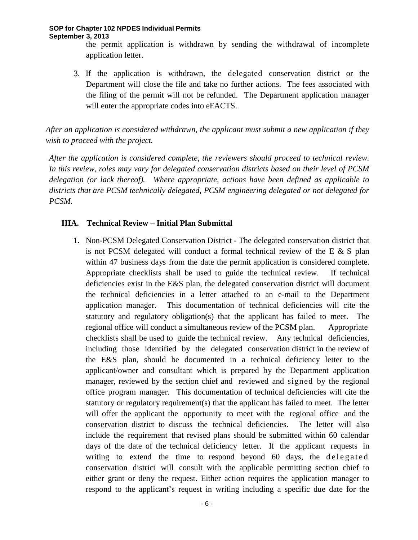the permit application is withdrawn by sending the withdrawal of incomplete application letter.

3. If the application is withdrawn, the delegated conservation district or the Department will close the file and take no further actions. The fees associated with the filing of the permit will not be refunded. The Department application manager will enter the appropriate codes into eFACTS.

*After an application is considered withdrawn, the applicant must submit a new application if they wish to proceed with the project.*

*After the application is considered complete, the reviewers should proceed to technical review. In this review, roles may vary for delegated conservation districts based on their level of PCSM delegation (or lack thereof). Where appropriate, actions have been defined as applicable to districts that are PCSM technically delegated, PCSM engineering delegated or not delegated for PCSM.*

## **IIIA. Technical Review – Initial Plan Submittal**

1. Non-PCSM Delegated Conservation District - The delegated conservation district that is not PCSM delegated will conduct a formal technical review of the E  $\&$  S plan within 47 business days from the date the permit application is considered complete. Appropriate checklists shall be used to guide the technical review. If technical deficiencies exist in the E&S plan, the delegated conservation district will document the technical deficiencies in a letter attached to an e-mail to the Department application manager. This documentation of technical deficiencies will cite the statutory and regulatory obligation(s) that the applicant has failed to meet. The regional office will conduct a simultaneous review of the PCSM plan. Appropriate checklists shall be used to guide the technical review. Any technical deficiencies, including those identified by the delegated conservation district in the review of the E&S plan, should be documented in a technical deficiency letter to the applicant/owner and consultant which is prepared by the Department application manager, reviewed by the section chief and reviewed and signed by the regional office program manager. This documentation of technical deficiencies will cite the statutory or regulatory requirement(s) that the applicant has failed to meet. The letter will offer the applicant the opportunity to meet with the regional office and the conservation district to discuss the technical deficiencies. The letter will also include the requirement that revised plans should be submitted within 60 calendar days of the date of the technical deficiency letter. If the applicant requests in writing to extend the time to respond beyond 60 days, the delegated conservation district will consult with the applicable permitting section chief to either grant or deny the request. Either action requires the application manager to respond to the applicant's request in writing including a specific due date for the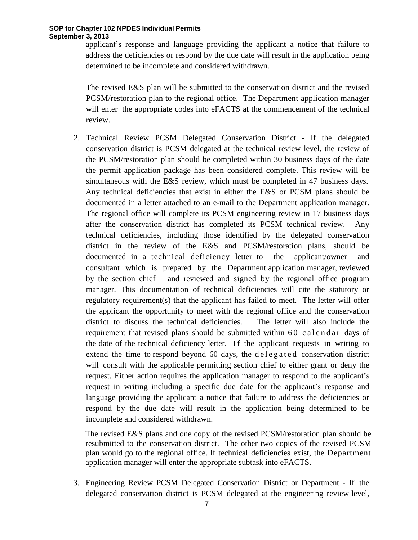applicant's response and language providing the applicant a notice that failure to address the deficiencies or respond by the due date will result in the application being determined to be incomplete and considered withdrawn.

The revised E&S plan will be submitted to the conservation district and the revised PCSM/restoration plan to the regional office. The Department application manager will enter the appropriate codes into eFACTS at the commencement of the technical review.

2. Technical Review PCSM Delegated Conservation District - If the delegated conservation district is PCSM delegated at the technical review level, the review of the PCSM/restoration plan should be completed within 30 business days of the date the permit application package has been considered complete. This review will be simultaneous with the E&S review, which must be completed in 47 business days. Any technical deficiencies that exist in either the E&S or PCSM plans should be documented in a letter attached to an e-mail to the Department application manager. The regional office will complete its PCSM engineering review in 17 business days after the conservation district has completed its PCSM technical review. Any technical deficiencies, including those identified by the delegated conservation district in the review of the E&S and PCSM/restoration plans, should be documented in a technical deficiency letter to the applicant/owner and consultant which is prepared by the Department application manager, reviewed by the section chief and reviewed and signed by the regional office program manager. This documentation of technical deficiencies will cite the statutory or regulatory requirement(s) that the applicant has failed to meet. The letter will offer the applicant the opportunity to meet with the regional office and the conservation district to discuss the technical deficiencies. The letter will also include the requirement that revised plans should be submitted within  $60$  calendar days of the date of the technical deficiency letter. If the applicant requests in writing to extend the time to respond beyond 60 days, the delegated conservation district will consult with the applicable permitting section chief to either grant or deny the request. Either action requires the application manager to respond to the applicant's request in writing including a specific due date for the applicant's response and language providing the applicant a notice that failure to address the deficiencies or respond by the due date will result in the application being determined to be incomplete and considered withdrawn.

The revised E&S plans and one copy of the revised PCSM/restoration plan should be resubmitted to the conservation district. The other two copies of the revised PCSM plan would go to the regional office. If technical deficiencies exist, the Department application manager will enter the appropriate subtask into eFACTS.

3. Engineering Review PCSM Delegated Conservation District or Department - If the delegated conservation district is PCSM delegated at the engineering review level,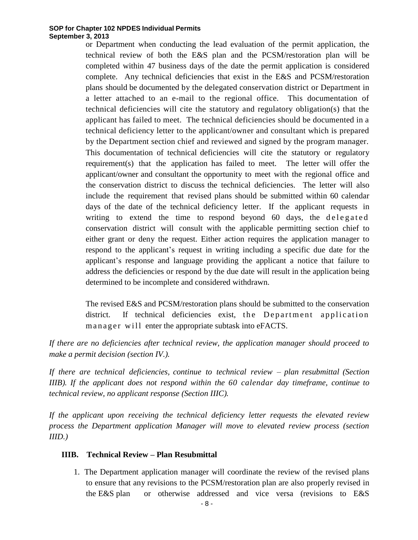or Department when conducting the lead evaluation of the permit application, the technical review of both the E&S plan and the PCSM/restoration plan will be completed within 47 business days of the date the permit application is considered complete. Any technical deficiencies that exist in the E&S and PCSM/restoration plans should be documented by the delegated conservation district or Department in a letter attached to an e-mail to the regional office. This documentation of technical deficiencies will cite the statutory and regulatory obligation(s) that the applicant has failed to meet. The technical deficiencies should be documented in a technical deficiency letter to the applicant/owner and consultant which is prepared by the Department section chief and reviewed and signed by the program manager. This documentation of technical deficiencies will cite the statutory or regulatory requirement(s) that the application has failed to meet. The letter will offer the applicant/owner and consultant the opportunity to meet with the regional office and the conservation district to discuss the technical deficiencies. The letter will also include the requirement that revised plans should be submitted within 60 calendar days of the date of the technical deficiency letter. If the applicant requests in writing to extend the time to respond beyond  $60$  days, the delegated conservation district will consult with the applicable permitting section chief to either grant or deny the request. Either action requires the application manager to respond to the applicant's request in writing including a specific due date for the applicant's response and language providing the applicant a notice that failure to address the deficiencies or respond by the due date will result in the application being determined to be incomplete and considered withdrawn.

The revised E&S and PCSM/restoration plans should be submitted to the conservation district. If technical deficiencies exist, the Department application m an ager will enter the appropriate subtask into eFACTS.

*If there are no deficiencies after technical review, the application manager should proceed to make a permit decision (section IV.).*

*If there are technical deficiencies, continue to technical review – plan resubmittal (Section IIIB). If the applicant does not respond within the 60 calendar day timeframe, continue to technical review, no applicant response (Section IIIC).*

*If the applicant upon receiving the technical deficiency letter requests the elevated review process the Department application Manager will move to elevated review process (section IIID.)*

### **IIIB. Technical Review – Plan Resubmittal**

1. The Department application manager will coordinate the review of the revised plans to ensure that any revisions to the PCSM/restoration plan are also properly revised in the E&S plan or otherwise addressed and vice versa (revisions to E&S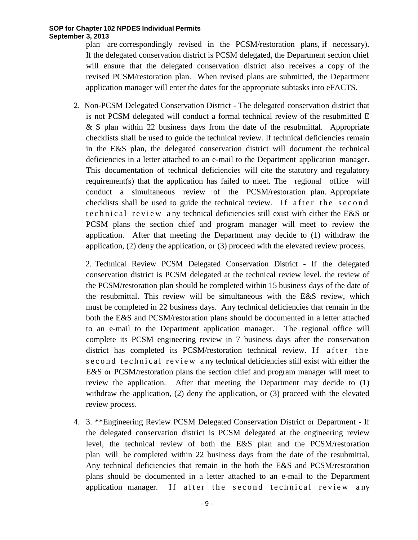plan are correspondingly revised in the PCSM/restoration plans, if necessary). If the delegated conservation district is PCSM delegated, the Department section chief will ensure that the delegated conservation district also receives a copy of the revised PCSM/restoration plan. When revised plans are submitted, the Department application manager will enter the dates for the appropriate subtasks into eFACTS.

2. Non-PCSM Delegated Conservation District - The delegated conservation district that is not PCSM delegated will conduct a formal technical review of the resubmitted E & S plan within 22 business days from the date of the resubmittal. Appropriate checklists shall be used to guide the technical review. If technical deficiencies remain in the E&S plan, the delegated conservation district will document the technical deficiencies in a letter attached to an e-mail to the Department application manager. This documentation of technical deficiencies will cite the statutory and regulatory requirement(s) that the application has failed to meet. The regional office will conduct a simultaneous review of the PCSM/restoration plan. Appropriate checklists shall be used to guide the technical review. If after the second te chnical review any technical deficiencies still exist with either the E&S or PCSM plans the section chief and program manager will meet to review the application. After that meeting the Department may decide to (1) withdraw the application, (2) deny the application, or (3) proceed with the elevated review process.

2. Technical Review PCSM Delegated Conservation District - If the delegated conservation district is PCSM delegated at the technical review level, the review of the PCSM/restoration plan should be completed within 15 business days of the date of the resubmittal. This review will be simultaneous with the E&S review, which must be completed in 22 business days. Any technical deficiencies that remain in the both the E&S and PCSM/restoration plans should be documented in a letter attached to an e-mail to the Department application manager. The regional office will complete its PCSM engineering review in 7 business days after the conservation district has completed its PCSM/restoration technical review. If after the s e c o n d t e c h n i c a l r e v i e w a ny technical deficiencies still exist with either the E&S or PCSM/restoration plans the section chief and program manager will meet to review the application. After that meeting the Department may decide to (1) withdraw the application, (2) deny the application, or (3) proceed with the elevated review process.

4. 3. \*\*Engineering Review PCSM Delegated Conservation District or Department - If the delegated conservation district is PCSM delegated at the engineering review level, the technical review of both the E&S plan and the PCSM/restoration plan will be completed within 22 business days from the date of the resubmittal. Any technical deficiencies that remain in the both the E&S and PCSM/restoration plans should be documented in a letter attached to an e-mail to the Department application manager. If after the second technical review any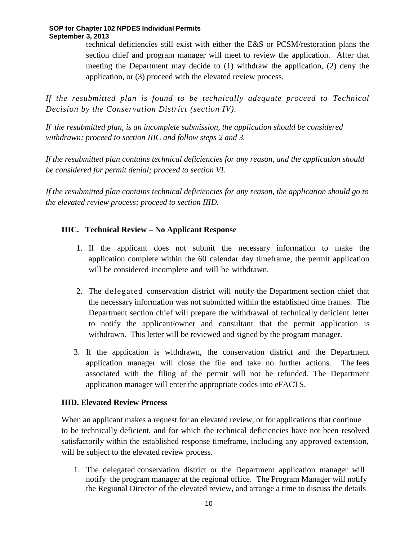technical deficiencies still exist with either the E&S or PCSM/restoration plans the section chief and program manager will meet to review the application. After that meeting the Department may decide to (1) withdraw the application, (2) deny the application, or (3) proceed with the elevated review process.

*If the resubmitted plan is found to be technically adequate proceed to Technical Decision by the Conservation District (section IV).*

*If the resubmitted plan, is an incomplete submission, the application should be considered withdrawn; proceed to section IIIC and follow steps 2 and 3.*

*If the resubmitted plan contains technical deficiencies for any reason, and the application should be considered for permit denial; proceed to section VI.*

*If the resubmitted plan contains technical deficiencies for any reason, the application should go to the elevated review process; proceed to section IIID.*

## **IIIC. Technical Review – No Applicant Response**

- 1. If the applicant does not submit the necessary information to make the application complete within the 60 calendar day timeframe, the permit application will be considered incomplete and will be withdrawn.
- 2. The delegated conservation district will notify the Department section chief that the necessary information was not submitted within the established time frames. The Department section chief will prepare the withdrawal of technically deficient letter to notify the applicant/owner and consultant that the permit application is withdrawn. This letter will be reviewed and signed by the program manager.
- 3. If the application is withdrawn, the conservation district and the Department application manager will close the file and take no further actions. The fees associated with the filing of the permit will not be refunded. The Department application manager will enter the appropriate codes into eFACTS.

## **IIID. Elevated Review Process**

When an applicant makes a request for an elevated review, or for applications that continue to be technically deficient, and for which the technical deficiencies have not been resolved satisfactorily within the established response timeframe, including any approved extension, will be subject to the elevated review process.

1. The delegated conservation district or the Department application manager will notify the program manager at the regional office. The Program Manager will notify the Regional Director of the elevated review, and arrange a time to discuss the details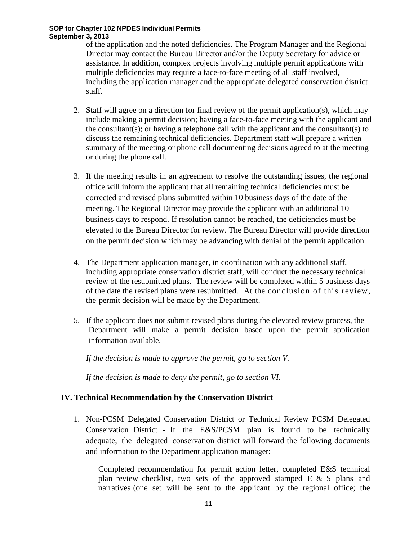of the application and the noted deficiencies. The Program Manager and the Regional Director may contact the Bureau Director and/or the Deputy Secretary for advice or assistance. In addition, complex projects involving multiple permit applications with multiple deficiencies may require a face-to-face meeting of all staff involved, including the application manager and the appropriate delegated conservation district staff.

- 2. Staff will agree on a direction for final review of the permit application(s), which may include making a permit decision; having a face-to-face meeting with the applicant and the consultant(s); or having a telephone call with the applicant and the consultant(s) to discuss the remaining technical deficiencies. Department staff will prepare a written summary of the meeting or phone call documenting decisions agreed to at the meeting or during the phone call.
- 3. If the meeting results in an agreement to resolve the outstanding issues, the regional office will inform the applicant that all remaining technical deficiencies must be corrected and revised plans submitted within 10 business days of the date of the meeting. The Regional Director may provide the applicant with an additional 10 business days to respond. If resolution cannot be reached, the deficiencies must be elevated to the Bureau Director for review. The Bureau Director will provide direction on the permit decision which may be advancing with denial of the permit application.
- 4. The Department application manager, in coordination with any additional staff, including appropriate conservation district staff, will conduct the necessary technical review of the resubmitted plans. The review will be completed within 5 business days of the date the revised plans were resubmitted. At the conclusion of this review, the permit decision will be made by the Department.
- 5. If the applicant does not submit revised plans during the elevated review process, the Department will make a permit decision based upon the permit application information available.

*If the decision is made to approve the permit, go to section V.* 

*If the decision is made to deny the permit, go to section VI.*

## **IV. Technical Recommendation by the Conservation District**

1. Non-PCSM Delegated Conservation District or Technical Review PCSM Delegated Conservation District - If the E&S/PCSM plan is found to be technically adequate, the delegated conservation district will forward the following documents and information to the Department application manager:

Completed recommendation for permit action letter, completed E&S technical plan review checklist, two sets of the approved stamped E & S plans and narratives (one set will be sent to the applicant by the regional office; the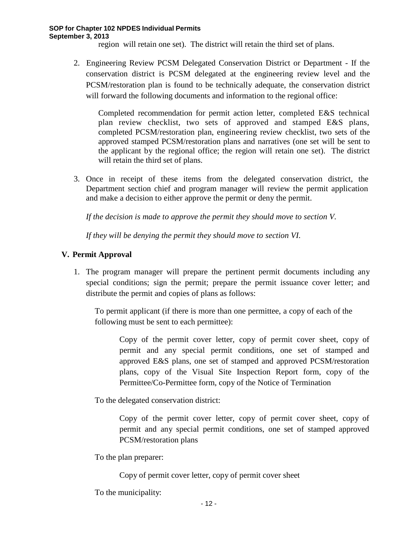region will retain one set). The district will retain the third set of plans.

2. Engineering Review PCSM Delegated Conservation District or Department - If the conservation district is PCSM delegated at the engineering review level and the PCSM/restoration plan is found to be technically adequate, the conservation district will forward the following documents and information to the regional office:

Completed recommendation for permit action letter, completed E&S technical plan review checklist, two sets of approved and stamped E&S plans, completed PCSM/restoration plan, engineering review checklist, two sets of the approved stamped PCSM/restoration plans and narratives (one set will be sent to the applicant by the regional office; the region will retain one set). The district will retain the third set of plans.

3. Once in receipt of these items from the delegated conservation district, the Department section chief and program manager will review the permit application and make a decision to either approve the permit or deny the permit.

*If the decision is made to approve the permit they should move to section V.* 

*If they will be denying the permit they should move to section VI.*

## **V. Permit Approval**

1. The program manager will prepare the pertinent permit documents including any special conditions; sign the permit; prepare the permit issuance cover letter; and distribute the permit and copies of plans as follows:

To permit applicant (if there is more than one permittee, a copy of each of the following must be sent to each permittee):

Copy of the permit cover letter, copy of permit cover sheet, copy of permit and any special permit conditions, one set of stamped and approved E&S plans, one set of stamped and approved PCSM/restoration plans, copy of the Visual Site Inspection Report form, copy of the Permittee/Co-Permittee form, copy of the Notice of Termination

To the delegated conservation district:

Copy of the permit cover letter, copy of permit cover sheet, copy of permit and any special permit conditions, one set of stamped approved PCSM/restoration plans

To the plan preparer:

Copy of permit cover letter, copy of permit cover sheet

To the municipality: